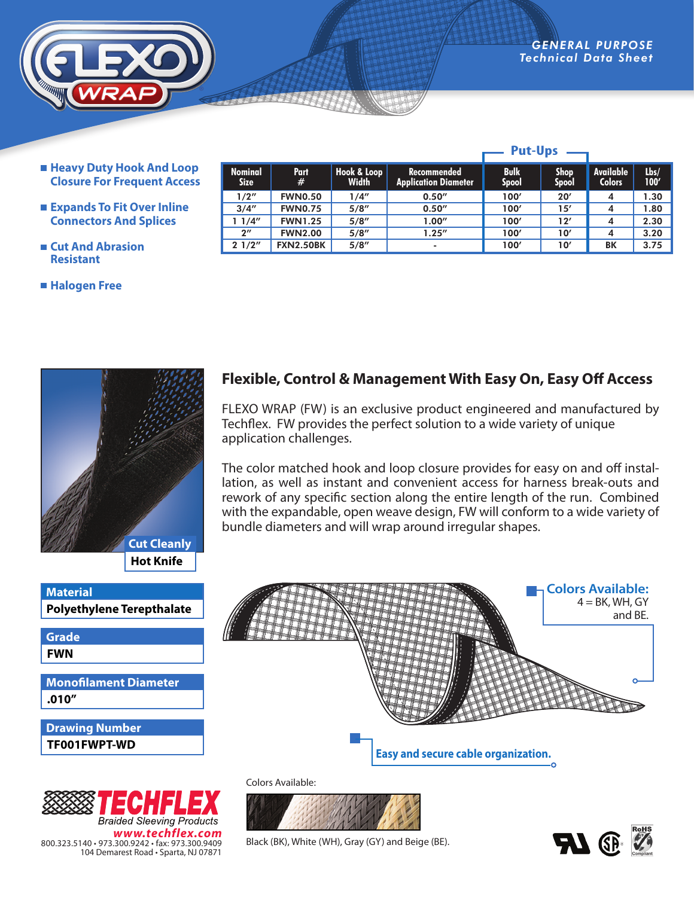**Put-Ups**

**Lbs/ 100'**

- *ADVANCED ENGINEERING* **Technical Data** 
	- **Nominal Size Part # Hook & Loop Width Recommended Application Diameter Bulk Spool Shop Spool Available Colors** 1/2" FWN0.50 1/4" 0.50" 100' 20' 4 1.30 3/4" FWN0.75 5/8" 0.50" 100' 15' 4 1.80 1 1/4" | FWN1.25 | 5/8" | 1.00" | 100′ | 12′ | 4 | 2.30 2" FWN2.00 5/8" 1.25" 100' 10' 4 3.20 2 1/2" FXN2.50BK 5/8" | 100' | 10' | BK 3.75
	- **Heavy Duty Hook And Loop Closure For Frequent Access**
	- **Expands To Fit Over Inline Connectors And Splices**
	- **Cut And Abrasion Resistant**
	- **Halogen Free**







## **Flexible, Control & Management With Easy On, Easy Off Access**

FLEXO WRAP (FW) is an exclusive product engineered and manufactured by Techflex. FW provides the perfect solution to a wide variety of unique application challenges.

The color matched hook and loop closure provides for easy on and off installation, as well as instant and convenient access for harness break-outs and rework of any specific section along the entire length of the run. Combined with the expandable, open weave design, FW will conform to a wide variety of bundle diameters and will wrap around irregular shapes.



Colors Available:



Black (BK), White (WH), Gray (GY) and Beige (BE).